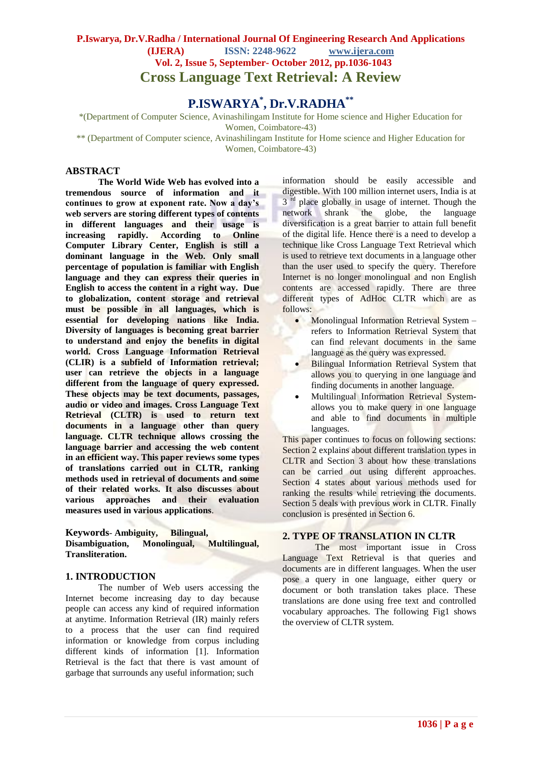# **P.Iswarya, Dr.V.Radha / International Journal Of Engineering Research And Applications (IJERA) ISSN: 2248-9622 www.ijera.com Vol. 2, Issue 5, September- October 2012, pp.1036-1043 Cross Language Text Retrieval: A Review**

# **P.ISWARYA\* , Dr.V.RADHA\*\***

\*(Department of Computer Science, Avinashilingam Institute for Home science and Higher Education for

Women, Coimbatore-43)

\*\* (Department of Computer science, Avinashilingam Institute for Home science and Higher Education for Women, Coimbatore-43)

#### **ABSTRACT**

**The World Wide Web has evolved into a tremendous source of information and it continues to grow at exponent rate. Now a day's web servers are storing different types of contents in different languages and their usage is increasing rapidly. According to Online Computer Library Center, English is still a dominant language in the Web. Only small percentage of population is familiar with English language and they can express their queries in English to access the content in a right way. Due to globalization, content storage and retrieval must be possible in all languages, which is essential for developing nations like India. Diversity of languages is becoming great barrier to understand and enjoy the benefits in digital world. Cross Language Information Retrieval (CLIR) is a subfield of Information retrieval; user can retrieve the objects in a language different from the language of query expressed. These objects may be text documents, passages, audio or video and images. Cross Language Text Retrieval (CLTR) is used to return text documents in a language other than query language. CLTR technique allows crossing the language barrier and accessing the web content in an efficient way. This paper reviews some types of translations carried out in CLTR, ranking methods used in retrieval of documents and some of their related works. It also discusses about various approaches and their evaluation measures used in various applications**.

**Keywords***-* **Ambiguity, Bilingual, Disambiguation, Monolingual, Multilingual, Transliteration.**

#### **1. INTRODUCTION**

The number of Web users accessing the Internet become increasing day to day because people can access any kind of required information at anytime. Information Retrieval (IR) mainly refers to a process that the user can find required information or knowledge from corpus including different kinds of information [1]. Information Retrieval is the fact that there is vast amount of garbage that surrounds any useful information; such

information should be easily accessible and digestible. With 100 million internet users, India is at 3<sup>rd</sup> place globally in usage of internet. Though the network shrank the globe, the language diversification is a great barrier to attain full benefit of the digital life. Hence there is a need to develop a technique like Cross Language Text Retrieval which is used to retrieve text documents in a language other than the user used to specify the query. Therefore Internet is no longer monolingual and non English contents are accessed rapidly. There are three different types of AdHoc CLTR which are as follows:

- Monolingual Information Retrieval System refers to Information Retrieval System that can find relevant documents in the same language as the query was expressed.
- **Bilingual Information Retrieval System that** allows you to querying in one language and finding documents in another language.
- Multilingual Information Retrieval Systemallows you to make query in one language and able to find documents in multiple languages.

This paper continues to focus on following sections: Section 2 explains about different translation types in CLTR and Section 3 about how these translations can be carried out using different approaches. Section 4 states about various methods used for ranking the results while retrieving the documents. Section 5 deals with previous work in CLTR. Finally conclusion is presented in Section 6.

## **2. TYPE OF TRANSLATION IN CLTR**

The most important issue in Cross Language Text Retrieval is that queries and documents are in different languages. When the user pose a query in one language, either query or document or both translation takes place. These translations are done using free text and controlled vocabulary approaches. The following Fig1 shows the overview of CLTR system.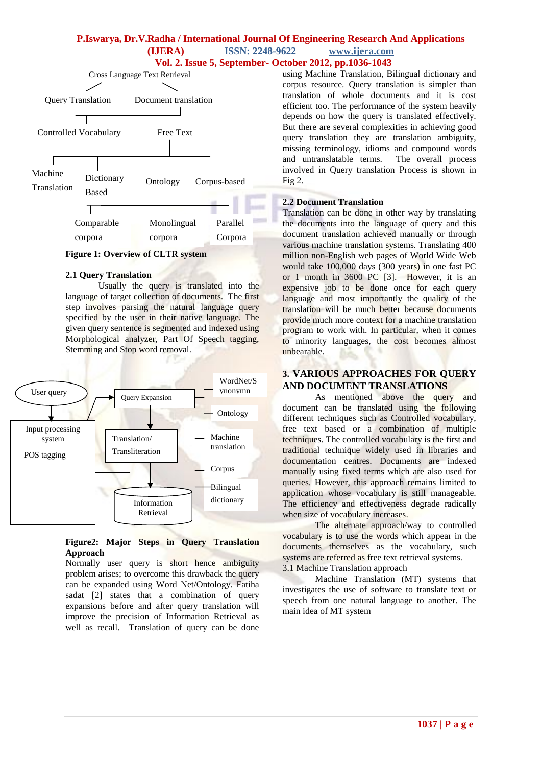# **P.Iswarya, Dr.V.Radha / International Journal Of Engineering Research And Applications (IJERA) ISSN: 2248-9622 www.ijera.com**





**Figure 1: Overview of CLTR system**

#### **2.1 Query Translation**

Usually the query is translated into the language of target collection of documents. The first step involves parsing the natural language query specified by the user in their native language. The given query sentence is segmented and indexed using Morphological analyzer, Part Of Speech tagging, Stemming and Stop word removal.



#### **Figure2: Major Steps in Query Translation Approach**

Normally user query is short hence ambiguity problem arises; to overcome this drawback the query can be expanded using Word Net/Ontology. Fatiha sadat [2] states that a combination of query expansions before and after query translation will improve the precision of Information Retrieval as well as recall. Translation of query can be done

using Machine Translation, Bilingual dictionary and corpus resource. Query translation is simpler than translation of whole documents and it is cost efficient too. The performance of the system heavily depends on how the query is translated effectively. But there are several complexities in achieving good query translation they are translation ambiguity, missing terminology, idioms and compound words and untranslatable terms. The overall process involved in Query translation Process is shown in Fig 2.

# **2.2 Document Translation**

Translation can be done in other way by translating the documents into the language of query and this document translation achieved manually or through various machine translation systems. Translating 400 million non-English web pages of World Wide Web would take 100,000 days (300 years) in one fast PC or 1 month in 3600 PC [3]. However, it is an expensive job to be done once for each query language and most importantly the quality of the translation will be much better because documents provide much more context for a machine translation program to work with. In particular, when it comes to minority languages, the cost becomes almost unbearable.

# **3. VARIOUS APPROACHES FOR QUERY AND DOCUMENT TRANSLATIONS**

As mentioned above the query and document can be translated using the following different techniques such as Controlled vocabulary, free text based or a combination of multiple techniques. The controlled vocabulary is the first and traditional technique widely used in libraries and documentation centres. Documents are indexed manually using fixed terms which are also used for queries. However, this approach remains limited to application whose vocabulary is still manageable. The efficiency and effectiveness degrade radically when size of vocabulary increases.

The alternate approach/way to controlled vocabulary is to use the words which appear in the documents themselves as the vocabulary, such systems are referred as free text retrieval systems. 3.1 Machine Translation approach

Machine Translation (MT) systems that investigates the use of software to translate text or speech from one natural language to another. The main idea of MT system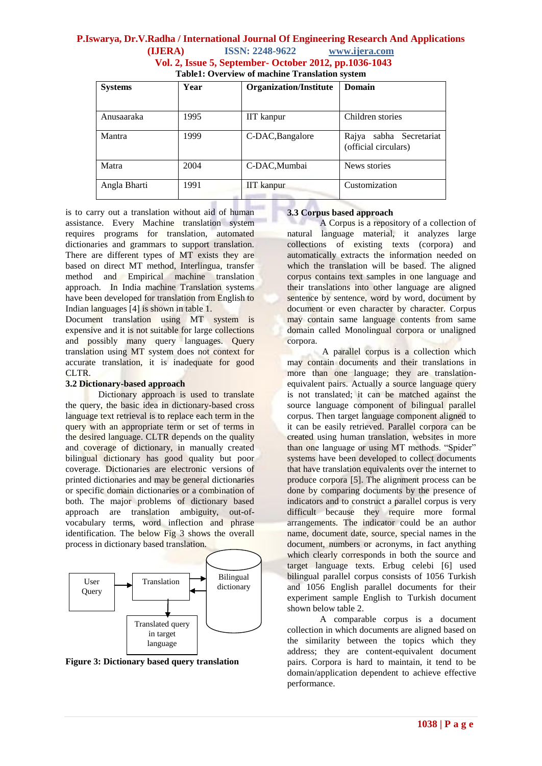# **P.Iswarya, Dr.V.Radha / International Journal Of Engineering Research And Applications (IJERA) ISSN: 2248-9622 www.ijera.com Vol. 2, Issue 5, September- October 2012, pp.1036-1043**

| <b>Table1: Overview of machine Translation system</b> |  |
|-------------------------------------------------------|--|
|-------------------------------------------------------|--|

| <b>Systems</b> | Year | <b>Organization/Institute</b> | Domain                                             |  |  |
|----------------|------|-------------------------------|----------------------------------------------------|--|--|
|                |      |                               |                                                    |  |  |
| Anusaaraka     | 1995 | <b>IIT</b> kanpur             | Children stories                                   |  |  |
| Mantra         | 1999 | C-DAC, Bangalore              | sabha Secretariat<br>Rajya<br>(official circulars) |  |  |
| Matra          | 2004 | C-DAC, Mumbai                 | News stories                                       |  |  |
| Angla Bharti   | 1991 | <b>IIT</b> kanpur             | Customization                                      |  |  |

is to carry out a translation without aid of human assistance. Every Machine translation system requires programs for translation, automated dictionaries and grammars to support translation. There are different types of MT exists they are based on direct MT method, Interlingua, transfer method and Empirical machine translation approach. In India machine Translation systems have been developed for translation from English to Indian languages [4] is shown in table 1.

Document translation using MT system is expensive and it is not suitable for large collections and possibly many query languages. Query translation using MT system does not context for accurate translation, it is inadequate for good CLTR.

#### **3.2 Dictionary-based approach**

Dictionary approach is used to translate the query, the basic idea in dictionary-based cross language text retrieval is to replace each term in the query with an appropriate term or set of terms in the desired language. CLTR depends on the quality and coverage of dictionary, in manually created bilingual dictionary has good quality but poor coverage. Dictionaries are electronic versions of printed dictionaries and may be general dictionaries or specific domain dictionaries or a combination of both. The major problems of dictionary based approach are translation ambiguity, out-ofvocabulary terms, word inflection and phrase identification. The below Fig 3 shows the overall process in dictionary based translation.



**Figure 3: Dictionary based query translation**

## **3.3 Corpus based approach**

A Corpus is a repository of a collection of natural language material, it analyzes large collections of existing texts (corpora) and automatically extracts the information needed on which the translation will be based. The aligned corpus contains text samples in one language and their translations into other language are aligned sentence by sentence, word by word, document by document or even character by character. Corpus may contain same language contents from same domain called Monolingual corpora or unaligned corpora.

A parallel corpus is a collection which may contain documents and their translations in more than one language; they are translationequivalent pairs. Actually a source language query is not translated; it can be matched against the source language component of bilingual parallel corpus. Then target language component aligned to it can be easily retrieved. Parallel corpora can be created using human translation, websites in more than one language or using MT methods. "Spider" systems have been developed to collect documents that have translation equivalents over the internet to produce corpora [5]. The alignment process can be done by comparing documents by the presence of indicators and to construct a parallel corpus is very difficult because they require more formal arrangements. The indicator could be an author name, document date, source, special names in the document, numbers or acronyms, in fact anything which clearly corresponds in both the source and target language texts. Erbug celebi [6] used bilingual parallel corpus consists of 1056 Turkish and 1056 English parallel documents for their experiment sample English to Turkish document shown below table 2.

A comparable corpus is a document collection in which documents are aligned based on the similarity between the topics which they address; they are content-equivalent document pairs. Corpora is hard to maintain, it tend to be domain/application dependent to achieve effective performance.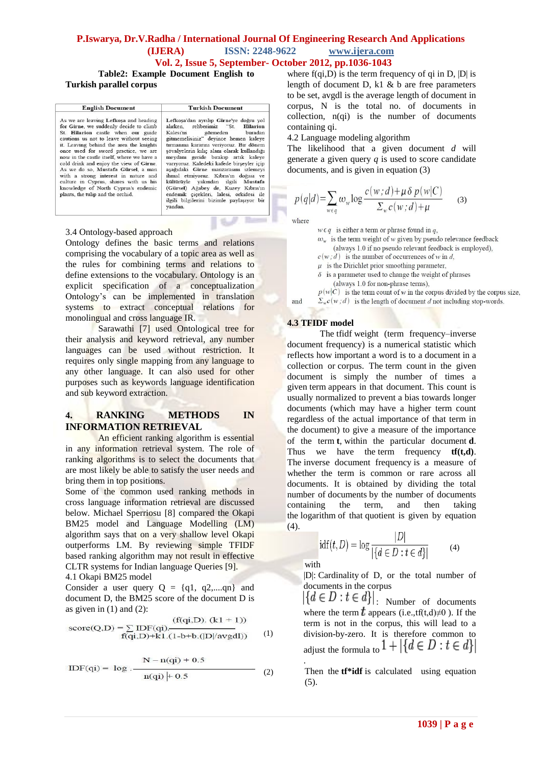# **P.Iswarya, Dr.V.Radha / International Journal Of Engineering Research And Applications (IJERA) ISSN: 2248-9622 www.ijera.com Vol. 2, Issue 5, September- October 2012, pp.1036-1043**

**Table2: Example Document English to Turkish parallel corpus**

| <b>English Document</b>                                                                                                                                                                                                                                                                                                                                                                                                                                                                                                                        |
|------------------------------------------------------------------------------------------------------------------------------------------------------------------------------------------------------------------------------------------------------------------------------------------------------------------------------------------------------------------------------------------------------------------------------------------------------------------------------------------------------------------------------------------------|
| As we are leaving Lefkosa and heading<br>for Girne, we suddenly decide to climb<br>St. Hilarion castle when our guide<br>cautions us not to leave without seeing<br>it. Leaving behind the area the knights<br>once used for sword practice, we are<br>now in the castle itself, where we have a<br>cold drink and enjoy the view of Girne.<br>As we do so, Mustafa Gürsel, a man<br>with a strong interest in nature and<br>culture in Cyprus, shares with us his<br>knowledge of North Cyprus's endemic<br>plants, the tulip and the orchid. |

Lefkoşa'dan ayrılıp Girne'ye doğru yol<br>alırken, rehberimiz "St. Hilarion alırken, rehberimiz<br>Kalesi'ni görmec Kalesi'ni görmeden buradan<br>gitmemelisiniz" deyince hemen kaleye gitmemelisiniz" deyince hemen kaleye<br>tırmama kararın veriyoruz. Bir dönem<br>şövalyelerin kılıç alanı olarak kullandığı<br>meydanı geride bırakıp artık kaleye<br>varıyoruz. Kaledeki kafede birşeyler içip<br>aşağıdaki Girne manzarasını yandan.

**Turkish Document** 

#### 3.4 Ontology-based approach

Ontology defines the basic terms and relations comprising the vocabulary of a topic area as well as the rules for combining terms and relations to define extensions to the vocabulary. Ontology is an explicit specification of a conceptualization Ontology"s can be implemented in translation systems to extract conceptual relations for monolingual and cross language IR.

Sarawathi [7] used Ontological tree for their analysis and keyword retrieval, any number languages can be used without restriction. It requires only single mapping from any language to any other language. It can also used for other purposes such as keywords language identification and sub keyword extraction.

# **4. RANKING METHODS IN INFORMATION RETRIEVAL**

An efficient ranking algorithm is essential in any information retrieval system. The role of ranking algorithms is to select the documents that are most likely be able to satisfy the user needs and bring them in top positions.

Some of the common used ranking methods in cross language information retrieval are discussed below. Michael Sperriosu [8] compared the Okapi BM25 model and Language Modelling (LM) algorithm says that on a very shallow level Okapi outperforms LM. By reviewing simple TFIDF based ranking algorithm may not result in effective CLTR systems for Indian language Queries [9].

4.1 Okapi BM25 model

Consider a user query  $Q = \{q1, q2,...,qn\}$  and document D, the BM25 score of the document D is as given in  $(1)$  and  $(2)$ :

$$
score(Q, D) = \sum_{f(qi, D) + k1} \frac{(f(qi, D) \cdot (k1 + 1))}{f(qi, D) + k1 \cdot (1 - b + b \cdot (|D|/avgd))}
$$
 (1)

$$
IDF(qi) = log \frac{N - n(qi) + 0.5}{n(qi) + 0.5}
$$
 (2)

where  $f(qi, D)$  is the term frequency of qi in D, |D| is length of document D,  $k1 \& b$  are free parameters to be set, avgdl is the average length of document in corpus, N is the total no. of documents in collection, n(qi) is the number of documents containing qi.

4.2 Language modeling algorithm

The likelihood that a given document *d* will generate a given query *q* is used to score candidate documents, and is given in equation (3)

$$
p(q|d) = \sum_{w \in q} \omega_w \log \frac{c(w;d) + \mu \delta p(w|C)}{\Sigma_w c(w;d) + \mu}
$$
 (3)

where

and

 $w \in q$  is either a term or phrase found in q,  $\omega_w$  is the term weight of w given by pseudo relevance feedback

(always 1.0 if no pseudo relevant feedback is employed).

 $c(w, d)$  is the number of occurrences of w in d,

- $\mu$  is the Dirichlet prior smoothing parameter,  $\delta$  is a parameter used to change the weight of phrases
- (always 1.0 for non-phrase terms),

 $p(w|C)$  is the term count of w in the corpus divided by the corpus size,  $\Sigma_w c(w; d)$  is the length of document d not including stop-words.

#### **4.3 TFIDF model**

The tfidf weight (term frequency–inverse document frequency) is a numerical statistic which reflects how important a word is to a [document](http://en.wikipedia.org/wiki/Document) in a collection or [corpus.](http://en.wikipedia.org/wiki/Text_corpus) The term count in the given document is simply the number of times a given [term](http://en.wikipedia.org/wiki/Term_(language)) appears in that document. This count is usually normalized to prevent a bias towards longer documents (which may have a higher term count regardless of the actual importance of that term in the document) to give a measure of the importance of the term **t**, within the particular document **d**. Thus we have the term frequency **tf(t,d)**. The inverse document frequency is a measure of whether the term is common or rare across all documents. It is obtained by dividing the total number of [documents](http://en.wikipedia.org/wiki/Documents) by the number of documents containing the term, and then taking the [logarithm](http://en.wikipedia.org/wiki/Logarithm) of that [quotient](http://en.wikipedia.org/wiki/Quotient) is given by equation (4).

$$
idf(t, D) = \log \frac{|D|}{|\{d \in D : t \in d\}|} \tag{4}
$$

with

|D|: [Cardinality](http://en.wikipedia.org/wiki/Cardinality) of D, or the total number of documents in the corpus

 $|\{d \in D : t \in d\}|$ : Number of documents where the term  $\hat{t}$  appears (i.e.,tf(t,d)≠0). If the term is not in the corpus, this will lead to a division-by-zero. It is therefore common to adjust the formula to  $1 + |\{d \in D : t \in d\}|$ .

Then the **tf\*idf** is calculated using equation (5).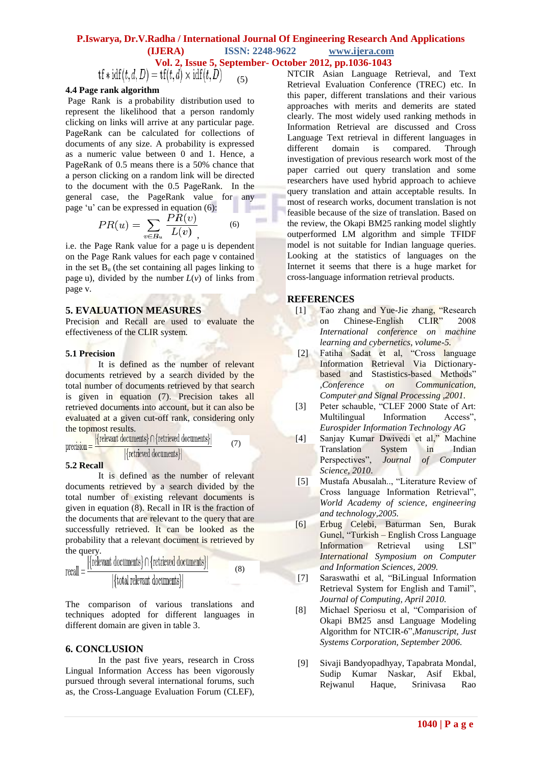# **P.Iswarya, Dr.V.Radha / International Journal Of Engineering Research And Applications (IJERA) ISSN: 2248-9622 www.ijera.com Vol. 2, Issue 5, September- October 2012, pp.1036-1043**

 $\text{tf} * \text{idf}(t, d, D) = \text{tf}(t, d) \times \text{idf}(t, D)$  (5)

#### **4.4 Page rank algorithm**

Page Rank is a [probability distribution](http://en.wikipedia.org/wiki/Probability_distribution) used to represent the likelihood that a person randomly clicking on links will arrive at any particular page. PageRank can be calculated for collections of documents of any size. A probability is expressed as a numeric value between 0 and 1. Hence, a PageRank of 0.5 means there is a 50% chance that a person clicking on a random link will be directed to the document with the 0.5 PageRank. In the general case, the PageRank value for any page "u" can be expressed in equation (6):

$$
PR(u) = \sum_{v \in B_u} \frac{PR(v)}{L(v)} \tag{6}
$$

i.e. the Page Rank value for a page u is dependent on the Page Rank values for each page v contained in the set  $B<sub>u</sub>$  (the set containing all pages linking to page u), divided by the number  $L(v)$  of links from page v.

#### **5. EVALUATION MEASURES**

Precision and Recall are used to evaluate the effectiveness of the CLIR system.

#### **5.1 Precision**

It is defined as the number of relevant documents retrieved by a search divided by the total number of documents retrieved by that search is given in equation (7). Precision takes all retrieved documents into account, but it can also be evaluated at a given cut-off rank, considering only

the topmost results. (7)  $precision =$ [{retrieved documents}]

#### **5.2 Recall**

It is defined as the number of relevant documents retrieved by a search divided by the total number of existing relevant documents is given in equation (8). Recall in IR is the fraction of the documents that are relevant to the query that are successfully retrieved. It can be looked as the probability that a relevant document is retrieved by the query.

$$
recall = \frac{|\{relevant \ documents\} \cap \{retrieved \ documents\}|}{|\{total \ relevant \ documents\}|}
$$
(8)

The comparison of various translations and techniques adopted for different languages in different domain are given in table 3.

## **6. CONCLUSION**

In the past five years, research in Cross Lingual Information Access has been vigorously pursued through several international forums, such as, the Cross-Language Evaluation Forum (CLEF), NTCIR Asian Language Retrieval, and Text Retrieval Evaluation Conference (TREC) etc. In this paper, different translations and their various approaches with merits and demerits are stated clearly. The most widely used ranking methods in Information Retrieval are discussed and Cross Language Text retrieval in different languages in different domain is compared. Through investigation of previous research work most of the paper carried out query translation and some researchers have used hybrid approach to achieve query translation and attain acceptable results. In most of research works, document translation is not feasible because of the size of translation. Based on the review, the Okapi BM25 ranking model slightly outperformed LM algorithm and simple TFIDF model is not suitable for Indian language queries. Looking at the statistics of languages on the Internet it seems that there is a huge market for cross-language information retrieval products.

## **REFERENCES**

- [1] Tao zhang and Yue-Jie zhang, "Research" on Chinese-English CLIR" 2008 *International conference on machine learning and cybernetics, volume-5.*
- [2] Fatiha Sadat et al, "Cross language Information Retrieval Via Dictionarybased and Stastistics-based Methods" *,Conference on Communication, Computer and Signal Processing ,2001.*
- [3] Peter schauble, "CLEF 2000 State of Art: Multilingual Information Access", *Eurospider Information Technology AG*
- [4] Sanjay Kumar Dwivedi et al," Machine Translation System in Indian Perspectives", *Journal of Computer Science, 2010*.
- [5] Mustafa Abusalah.., "Literature Review of Cross language Information Retrieval", *World Academy of science, engineering and technology,2005.*
- [6] Erbug Celebi, Baturman Sen, Burak Gunel, "Turkish – English Cross Language Information Retrieval using LSI" *International Symposium on Computer and Information Sciences, 2009.*
- [7] Saraswathi et al, "BiLingual Information Retrieval System for English and Tamil", *Journal of Computing, April 2010.*
- [8] Michael Speriosu et al, "Comparision of Okapi BM25 ansd Language Modeling Algorithm for NTCIR-6",*Manuscript, Just Systems Corporation, September 2006.*
- [9] Sivaji Bandyopadhyay, Tapabrata Mondal, Sudip Kumar Naskar, Asif Ekbal, Rejwanul Haque, Srinivasa Rao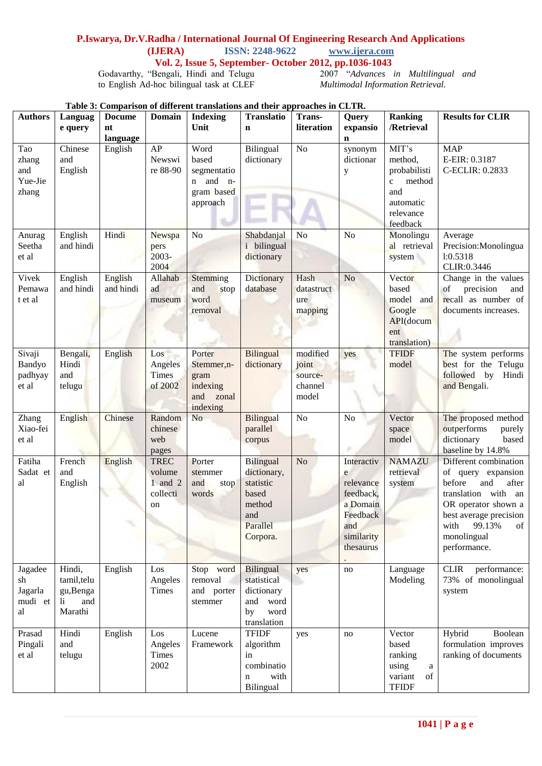# **P.Iswarya, Dr.V.Radha / International Journal Of Engineering Research And Applications**

**(IJERA)** ISSN: 2248-9622

 **Vol. 2, Issue 5, September- October 2012, pp.1036-1043**

Godavarthy, "Bengali, Hindi and Telugu to English Ad-hoc bilingual task at CLEF

2007 "*Advances in Multilingual and Multimodal Information Retrieval.*

| Table 3: Comparison of different translations and their approaches in CLTR. |  |
|-----------------------------------------------------------------------------|--|
|-----------------------------------------------------------------------------|--|

| <b>Authors</b>                              | Languag<br>e query                                          | <b>Comparison</b><br><b>Docume</b><br>nt<br>language | <b>Domain</b>                                          | <b>Indexing</b><br>Unit                                            | <b>Translatio</b><br>$\mathbf n$                                                               | Trans-<br>literation                             | Query<br>expansio<br>$\mathbf n$                                                                    | <b>Ranking</b><br>/Retrieval                                                                            | <b>Results for CLIR</b>                                                                                                                                                                              |
|---------------------------------------------|-------------------------------------------------------------|------------------------------------------------------|--------------------------------------------------------|--------------------------------------------------------------------|------------------------------------------------------------------------------------------------|--------------------------------------------------|-----------------------------------------------------------------------------------------------------|---------------------------------------------------------------------------------------------------------|------------------------------------------------------------------------------------------------------------------------------------------------------------------------------------------------------|
| Tao<br>zhang<br>and<br>Yue-Jie<br>zhang     | Chinese<br>and<br>English                                   | English                                              | AP<br>Newswi<br>re 88-90                               | Word<br>based<br>segmentatio<br>n and n-<br>gram based<br>approach | Bilingual<br>dictionary                                                                        | N <sub>o</sub>                                   | synonym<br>dictionar<br>y                                                                           | MIT's<br>method,<br>probabilisti<br>method<br>$\mathbf{c}$<br>and<br>automatic<br>relevance<br>feedback | <b>MAP</b><br>E-EIR: 0.3187<br>C-ECLIR: 0.2833                                                                                                                                                       |
| Anurag<br>Seetha<br>et al                   | English<br>and hindi                                        | Hindi                                                | Newspa<br>pers<br>2003-<br>2004                        | N <sub>o</sub>                                                     | Shabdanjal<br><i>i</i> bilingual<br>dictionary                                                 | N <sub>o</sub>                                   | N <sub>o</sub>                                                                                      | Monolingu<br>al retrieval<br>system                                                                     | Average<br>Precision: Monolingua<br>1:0.5318<br>CLIR:0.3446                                                                                                                                          |
| Vivek<br>Pemawa<br>t et al                  | English<br>and hindi                                        | English<br>and hindi                                 | Allahab<br>ad<br>museum                                | Stemming<br>and<br>stop<br>word<br>removal                         | Dictionary<br>database                                                                         | Hash<br>datastruct<br>ure<br>mapping             | N <sub>o</sub>                                                                                      | Vector<br>based<br>model<br>and<br>Google<br>API(docum<br>ent<br>translation)                           | Change in the values<br>precision<br>of<br>and<br>recall as number of<br>documents increases.                                                                                                        |
| Sivaji<br><b>Bandyo</b><br>padhyay<br>et al | Bengali,<br>Hindi<br>and<br>telugu                          | English                                              | Los<br>Angeles<br><b>Times</b><br>of 2002              | Porter<br>Stemmer, n-<br>gram<br>indexing<br>and zonal<br>indexing | <b>Bilingual</b><br>dictionary                                                                 | modified<br>joint<br>source-<br>channel<br>model | yes                                                                                                 | <b>TFIDF</b><br>model                                                                                   | The system performs<br>best for the Telugu<br>followed by Hindi<br>and Bengali.                                                                                                                      |
| Zhang<br>Xiao-fei<br>et al                  | English                                                     | Chinese                                              | Random<br>chinese<br>web<br>pages                      | N <sub>o</sub>                                                     | Bilingual<br>parallel<br>corpus                                                                | N <sub>o</sub>                                   | No                                                                                                  | Vector<br>space<br>model                                                                                | The proposed method<br>outperforms<br>purely<br>based<br>dictionary<br>baseline by 14.8%                                                                                                             |
| Fatiha<br>Sadat et<br>al                    | French<br>and<br>English                                    | English<br>ς                                         | <b>TREC</b><br>volume<br>$1$ and $2$<br>collecti<br>on | Porter<br>stemmer<br>and<br>stop<br>words                          | <b>Bilingual</b><br>dictionary,<br>statistic<br>based<br>method<br>and<br>Parallel<br>Corpora. | N <sub>o</sub>                                   | Interactiv<br>e<br>relevance<br>feedback,<br>a Domain<br>Feedback<br>and<br>similarity<br>thesaurus | <b>NAMAZU</b><br>retrieval<br>system                                                                    | Different combination<br>of query expansion<br>before<br>and<br>after<br>translation with an<br>OR operator shown a<br>best average precision<br>99.13%<br>of<br>with<br>monolingual<br>performance. |
| Jagadee<br>sh<br>Jagarla<br>mudi et<br>al   | Hindi,<br>tamil, telu<br>gu, Benga<br>and<br>li.<br>Marathi | English                                              | Los<br>Angeles<br><b>Times</b>                         | Stop word<br>removal<br>and porter<br>stemmer                      | Bilingual<br>statistical<br>dictionary<br>and word<br>word<br>by<br>translation                | yes                                              | no                                                                                                  | Language<br>Modeling                                                                                    | <b>CLIR</b><br>performance:<br>73% of monolingual<br>system                                                                                                                                          |
| Prasad<br>Pingali<br>et al                  | Hindi<br>and<br>telugu                                      | English                                              | Los<br>Angeles<br><b>Times</b><br>2002                 | Lucene<br>Framework                                                | <b>TFIDF</b><br>algorithm<br>in<br>combinatio<br>with<br>n<br>Bilingual                        | yes                                              | no                                                                                                  | Vector<br>based<br>ranking<br>using<br>a<br>variant<br>of<br><b>TFIDF</b>                               | Hybrid<br>Boolean<br>formulation improves<br>ranking of documents                                                                                                                                    |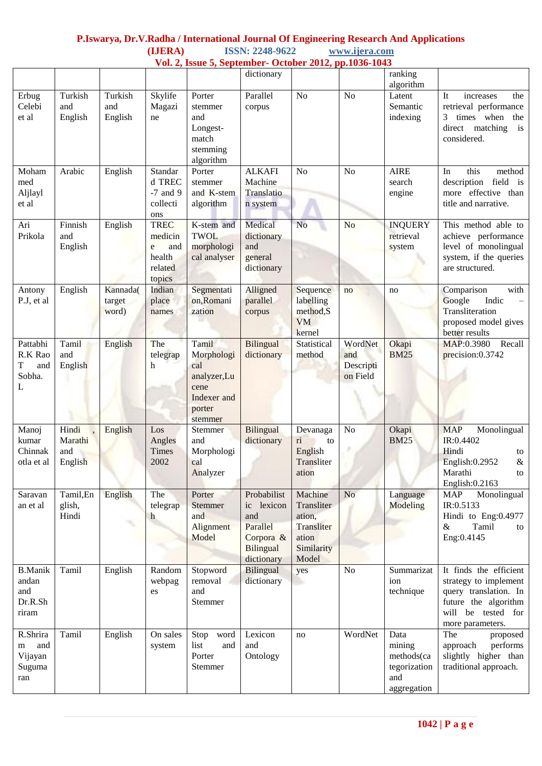# **P.Iswarya, Dr.V.Radha / International Journal Of Engineering Research And Applications (IJERA) ISSN: 2248-9622 www.ijera.com**

| Vol. 2, Issue 5, September- October 2012, pp.1036-1043 |                                    |                             |                                                                   |                                                                                       |                                                                                             |                                                                               |                                         |                                                                    |                                                                                                                                            |
|--------------------------------------------------------|------------------------------------|-----------------------------|-------------------------------------------------------------------|---------------------------------------------------------------------------------------|---------------------------------------------------------------------------------------------|-------------------------------------------------------------------------------|-----------------------------------------|--------------------------------------------------------------------|--------------------------------------------------------------------------------------------------------------------------------------------|
|                                                        |                                    |                             |                                                                   |                                                                                       | dictionary                                                                                  |                                                                               |                                         | ranking<br>algorithm                                               |                                                                                                                                            |
| Erbug<br>Celebi<br>et al                               | Turkish<br>and<br>English          | Turkish<br>and<br>English   | Skylife<br>Magazi<br>ne                                           | Porter<br>stemmer<br>and<br>Longest-<br>match<br>stemming<br>algorithm                | Parallel<br>corpus                                                                          | N <sub>o</sub>                                                                | N <sub>o</sub>                          | Latent<br>Semantic<br>indexing                                     | It<br>the<br>increases<br>retrieval performance<br>times when<br>3<br>the<br>direct matching<br>is<br>considered.                          |
| Moham<br>med<br>Aljlayl<br>et al                       | Arabic                             | English                     | Standar<br>d TREC<br>$-7$ and 9<br>collecti<br>ons                | Porter<br>stemmer<br>and K-stem<br>algorithm                                          | <b>ALKAFI</b><br>Machine<br>Translatio<br>n system                                          | N <sub>o</sub>                                                                | N <sub>o</sub>                          | <b>AIRE</b><br>search<br>engine                                    | this<br>In<br>method<br>field is<br>description<br>more effective than<br>title and narrative.                                             |
| Ari<br>Prikola                                         | Finnish<br>and<br>English          | English                     | <b>TREC</b><br>medicin<br>and<br>e<br>health<br>related<br>topics | K-stem and<br><b>TWOL</b><br>morphologi<br>cal analyser                               | Medical<br>dictionary<br>and<br>general<br>dictionary                                       | N <sub>o</sub>                                                                | N <sub>o</sub>                          | <b>INQUERY</b><br>retrieval<br>system                              | This method able to<br>achieve performance<br>level of monolingual<br>system, if the queries<br>are structured.                            |
| Antony<br>P.J, et al                                   | English                            | Kannada(<br>target<br>word) | Indian<br>place<br>names                                          | Segmentati<br>on, Romani<br>zation                                                    | Alligned<br>parallel<br>corpus                                                              | Sequence<br>labelling<br>method, S<br><b>VM</b><br>kernel                     | no                                      | no                                                                 | with<br>Comparison<br>Google<br>Indic<br>Transliteration<br>proposed model gives<br>better results                                         |
| Pattabhi<br>R.K Rao<br>T<br>and<br>Sobha.<br>L         | Tamil<br>and<br>English            | English                     | The<br>telegrap<br>h                                              | Tamil<br>Morphologi<br>cal<br>analyzer,Lu<br>cene<br>Indexer and<br>porter<br>stemmer | Bilingual<br>dictionary                                                                     | Statistical<br>method                                                         | WordNet<br>and<br>Descripti<br>on Field | Okapi<br><b>BM25</b>                                               | MAP:0.3980<br>Recall<br>precision:0.3742                                                                                                   |
| Manoj<br>kumar<br>Chinnak<br>otla et al                | Hindi<br>Marathi<br>and<br>English | English                     | Los<br>Angles<br><b>Times</b><br>2002                             | Stemmer<br>and<br>Morphologi<br>cal<br>Analyzer                                       | <b>Bilingual</b><br>dictionary                                                              | Devanaga<br>$\overline{\textbf{n}}$<br>to<br>English<br>Transliter<br>ation   | No                                      | Okapi<br><b>BM25</b>                                               | <b>MAP</b><br>Monolingual<br>IR:0.4402<br>Hindi<br>to<br>English: 0.2952<br>$\&$<br>Marathi<br>to<br>English: 0.2163                       |
| Saravan<br>an et al                                    | Tamil, En<br>glish,<br>Hindi       | English                     | The<br>telegrap<br>$\mathbf{h}$                                   | Porter<br>Stemmer<br>and<br>Alignment<br>Model                                        | Probabilist<br>ic lexicon<br>and<br>Parallel<br>Corpora &<br><b>Bilingual</b><br>dictionary | Machine<br>Transliter<br>ation,<br>Transliter<br>ation<br>Similarity<br>Model | N <sub>o</sub>                          | Language<br>Modeling                                               | <b>MAP</b><br>Monolingual<br>IR:0.5133<br>Hindi to Eng:0.4977<br>$\&$<br>Tamil<br>to<br>Eng:0.4145                                         |
| <b>B.Manik</b><br>andan<br>and<br>Dr.R.Sh<br>riram     | Tamil                              | English                     | Random<br>webpag<br>es                                            | Stopword<br>removal<br>and<br>Stemmer                                                 | Bilingual<br>dictionary                                                                     | yes                                                                           | N <sub>o</sub>                          | Summarizat<br>ion<br>technique                                     | It finds the efficient<br>strategy to implement<br>query translation. In<br>future the algorithm<br>will be tested for<br>more parameters. |
| R.Shrira<br>and<br>m<br>Vijayan<br>Suguma<br>ran       | Tamil                              | English                     | On sales<br>system                                                | Stop word<br>list<br>and<br>Porter<br>Stemmer                                         | Lexicon<br>and<br>Ontology                                                                  | no                                                                            | WordNet                                 | Data<br>mining<br>methods(ca<br>tegorization<br>and<br>aggregation | The<br>proposed<br>approach<br>performs<br>slightly higher than<br>traditional approach.                                                   |